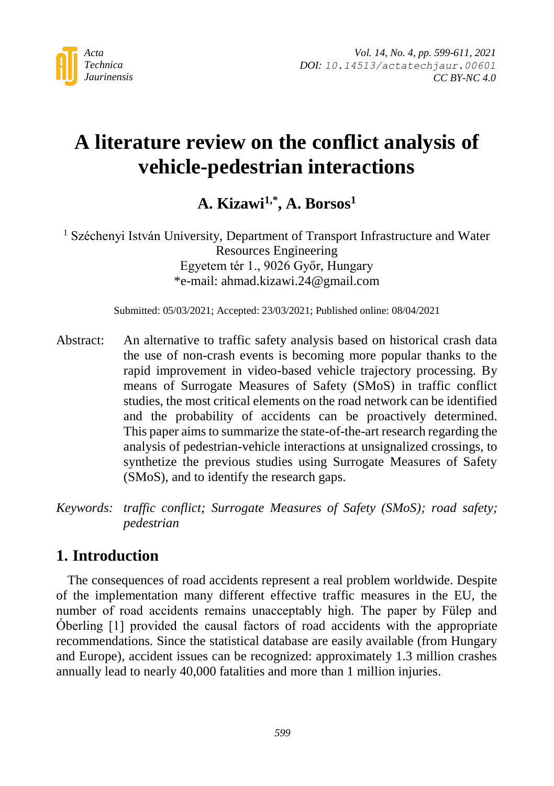

# **A literature review on the conflict analysis of vehicle-pedestrian interactions**

**A. Kizawi1,\* , A. Borsos<sup>1</sup>**

<sup>1</sup> Széchenyi István University, Department of Transport Infrastructure and Water Resources Engineering Egyetem tér 1., 9026 Győr, Hungary \*e-mail: ahmad.kizawi.24@gmail.com

Submitted: 05/03/2021; Accepted: 23/03/2021; Published online: 08/04/2021

Abstract: An alternative to traffic safety analysis based on historical crash data the use of non-crash events is becoming more popular thanks to the rapid improvement in video-based vehicle trajectory processing. By means of Surrogate Measures of Safety (SMoS) in traffic conflict studies, the most critical elements on the road network can be identified and the probability of accidents can be proactively determined. This paper aims to summarize the state-of-the-art research regarding the analysis of pedestrian-vehicle interactions at unsignalized crossings, to synthetize the previous studies using Surrogate Measures of Safety (SMoS), and to identify the research gaps.

*Keywords: traffic conflict; Surrogate Measures of Safety (SMoS); road safety; pedestrian*

# **1. Introduction**

The consequences of road accidents represent a real problem worldwide. Despite of the implementation many different effective traffic measures in the EU, the number of road accidents remains unacceptably high. The paper by Fülep and Óberling [1] provided the causal factors of road accidents with the appropriate recommendations. Since the statistical database are easily available (from Hungary and Europe), accident issues can be recognized: approximately 1.3 million crashes annually lead to nearly 40,000 fatalities and more than 1 million injuries.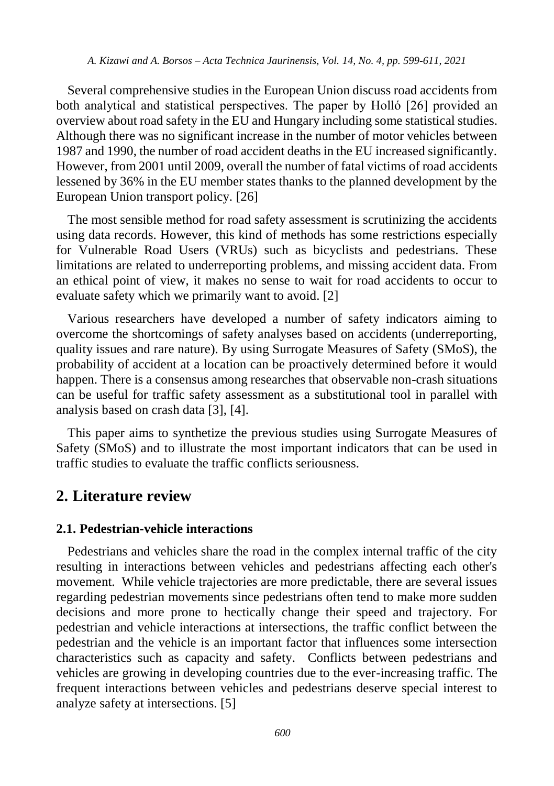Several comprehensive studies in the European Union discuss road accidents from both analytical and statistical perspectives. The paper by Holló [26] provided an overview about road safety in the EU and Hungary including some statistical studies. Although there was no significant increase in the number of motor vehicles between 1987 and 1990, the number of road accident deaths in the EU increased significantly. However, from 2001 until 2009, overall the number of fatal victims of road accidents lessened by 36% in the EU member states thanks to the planned development by the European Union transport policy. [26]

The most sensible method for road safety assessment is scrutinizing the accidents using data records. However, this kind of methods has some restrictions especially for Vulnerable Road Users (VRUs) such as bicyclists and pedestrians. These limitations are related to underreporting problems, and missing accident data. From an ethical point of view, it makes no sense to wait for road accidents to occur to evaluate safety which we primarily want to avoid. [2]

Various researchers have developed a number of safety indicators aiming to overcome the shortcomings of safety analyses based on accidents (underreporting, quality issues and rare nature). By using Surrogate Measures of Safety (SMoS), the probability of accident at a location can be proactively determined before it would happen. There is a consensus among researches that observable non-crash situations can be useful for traffic safety assessment as a substitutional tool in parallel with analysis based on crash data [3], [4].

This paper aims to synthetize the previous studies using Surrogate Measures of Safety (SMoS) and to illustrate the most important indicators that can be used in traffic studies to evaluate the traffic conflicts seriousness.

# **2. Literature review**

### **2.1. Pedestrian-vehicle interactions**

Pedestrians and vehicles share the road in the complex internal traffic of the city resulting in interactions between vehicles and pedestrians affecting each other's movement. While vehicle trajectories are more predictable, there are several issues regarding pedestrian movements since pedestrians often tend to make more sudden decisions and more prone to hectically change their speed and trajectory. For pedestrian and vehicle interactions at intersections, the traffic conflict between the pedestrian and the vehicle is an important factor that influences some intersection characteristics such as capacity and safety. Conflicts between pedestrians and vehicles are growing in developing countries due to the ever-increasing traffic. The frequent interactions between vehicles and pedestrians deserve special interest to analyze safety at intersections. [5]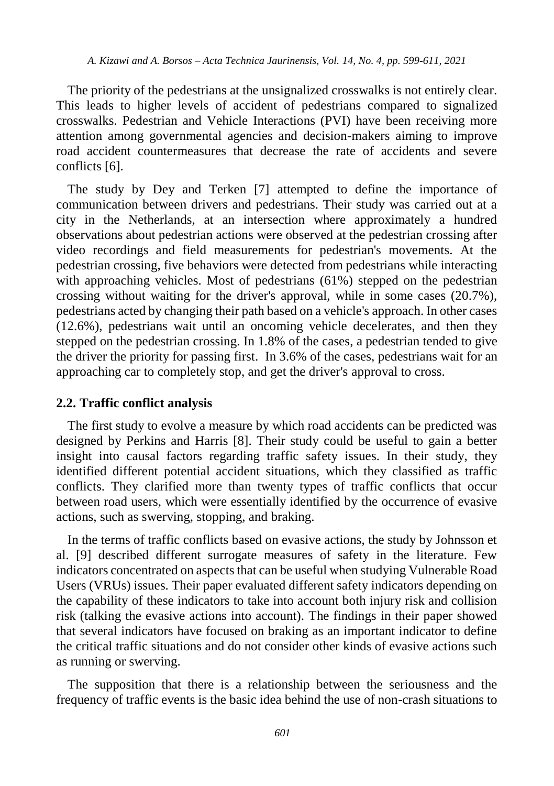The priority of the pedestrians at the unsignalized crosswalks is not entirely clear. This leads to higher levels of accident of pedestrians compared to signalized crosswalks. Pedestrian and Vehicle Interactions (PVI) have been receiving more attention among governmental agencies and decision-makers aiming to improve road accident countermeasures that decrease the rate of accidents and severe conflicts [6].

The study by Dey and Terken [7] attempted to define the importance of communication between drivers and pedestrians. Their study was carried out at a city in the Netherlands, at an intersection where approximately a hundred observations about pedestrian actions were observed at the pedestrian crossing after video recordings and field measurements for pedestrian's movements. At the pedestrian crossing, five behaviors were detected from pedestrians while interacting with approaching vehicles. Most of pedestrians (61%) stepped on the pedestrian crossing without waiting for the driver's approval, while in some cases (20.7%), pedestrians acted by changing their path based on a vehicle's approach. In other cases (12.6%), pedestrians wait until an oncoming vehicle decelerates, and then they stepped on the pedestrian crossing. In 1.8% of the cases, a pedestrian tended to give the driver the priority for passing first. In 3.6% of the cases, pedestrians wait for an approaching car to completely stop, and get the driver's approval to cross.

### **2.2. Traffic conflict analysis**

The first study to evolve a measure by which road accidents can be predicted was designed by Perkins and Harris [8]. Their study could be useful to gain a better insight into causal factors regarding traffic safety issues. In their study, they identified different potential accident situations, which they classified as traffic conflicts. They clarified more than twenty types of traffic conflicts that occur between road users, which were essentially identified by the occurrence of evasive actions, such as swerving, stopping, and braking.

In the terms of traffic conflicts based on evasive actions, the study by Johnsson et al. [9] described different surrogate measures of safety in the literature. Few indicators concentrated on aspects that can be useful when studying Vulnerable Road Users (VRUs) issues. Their paper evaluated different safety indicators depending on the capability of these indicators to take into account both injury risk and collision risk (talking the evasive actions into account). The findings in their paper showed that several indicators have focused on braking as an important indicator to define the critical traffic situations and do not consider other kinds of evasive actions such as running or swerving.

The supposition that there is a relationship between the seriousness and the frequency of traffic events is the basic idea behind the use of non-crash situations to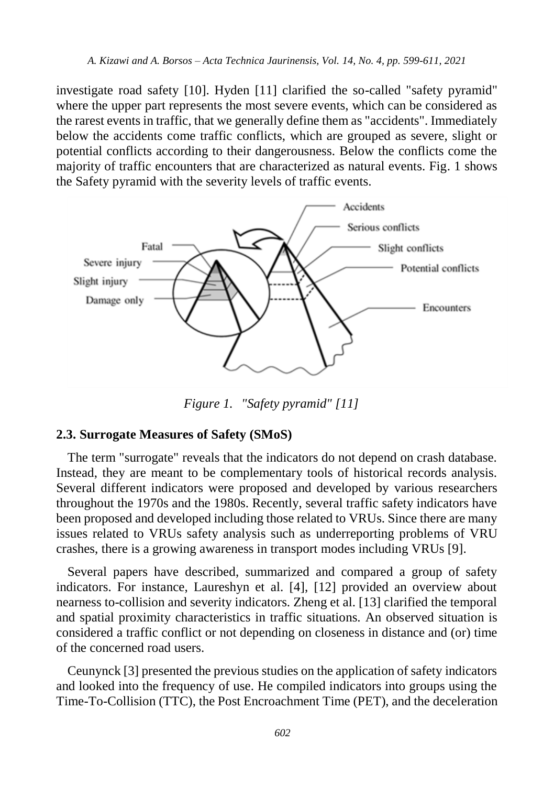investigate road safety [10]. Hyden [11] clarified the so-called "safety pyramid" where the upper part represents the most severe events, which can be considered as the rarest events in traffic, that we generally define them as "accidents". Immediately below the accidents come traffic conflicts, which are grouped as severe, slight or potential conflicts according to their dangerousness. Below the conflicts come the majority of traffic encounters that are characterized as natural events. Fig. 1 shows the Safety pyramid with the severity levels of traffic events.



*Figure 1. "Safety pyramid" [11]*

## **2.3. Surrogate Measures of Safety (SMoS)**

The term "surrogate" reveals that the indicators do not depend on crash database. Instead, they are meant to be complementary tools of historical records analysis. Several different indicators were proposed and developed by various researchers throughout the 1970s and the 1980s. Recently, several traffic safety indicators have been proposed and developed including those related to VRUs. Since there are many issues related to VRUs safety analysis such as underreporting problems of VRU crashes, there is a growing awareness in transport modes including VRUs [9].

Several papers have described, summarized and compared a group of safety indicators. For instance, Laureshyn et al. [4], [12] provided an overview about nearness to-collision and severity indicators. Zheng et al. [13] clarified the temporal and spatial proximity characteristics in traffic situations. An observed situation is considered a traffic conflict or not depending on closeness in distance and (or) time of the concerned road users.

Ceunynck [3] presented the previous studies on the application of safety indicators and looked into the frequency of use. He compiled indicators into groups using the Time-To-Collision (TTC), the Post Encroachment Time (PET), and the deceleration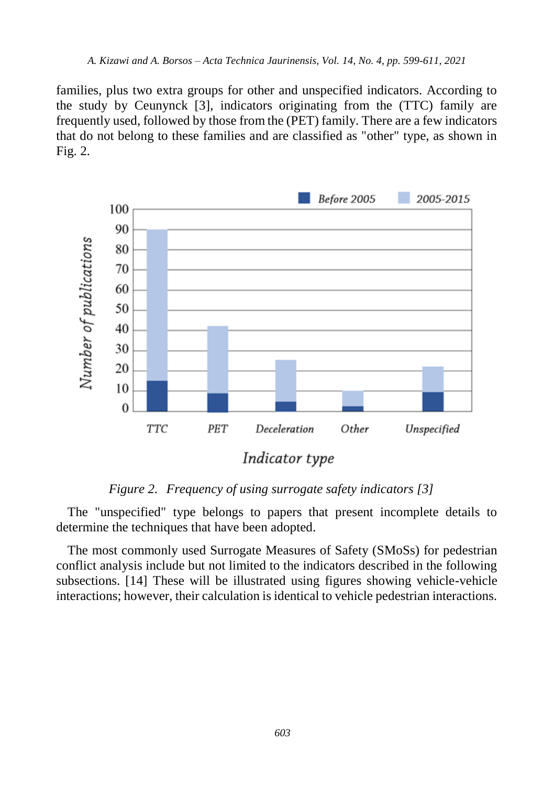families, plus two extra groups for other and unspecified indicators. According to the study by Ceunynck [3], indicators originating from the (TTC) family are frequently used, followed by those from the (PET) family. There are a few indicators that do not belong to these families and are classified as "other" type, as shown in Fig. 2.



*Figure 2. Frequency of using surrogate safety indicators [3]*

The "unspecified" type belongs to papers that present incomplete details to determine the techniques that have been adopted.

The most commonly used Surrogate Measures of Safety (SMoSs) for pedestrian conflict analysis include but not limited to the indicators described in the following subsections. [14] These will be illustrated using figures showing vehicle-vehicle interactions; however, their calculation is identical to vehicle pedestrian interactions.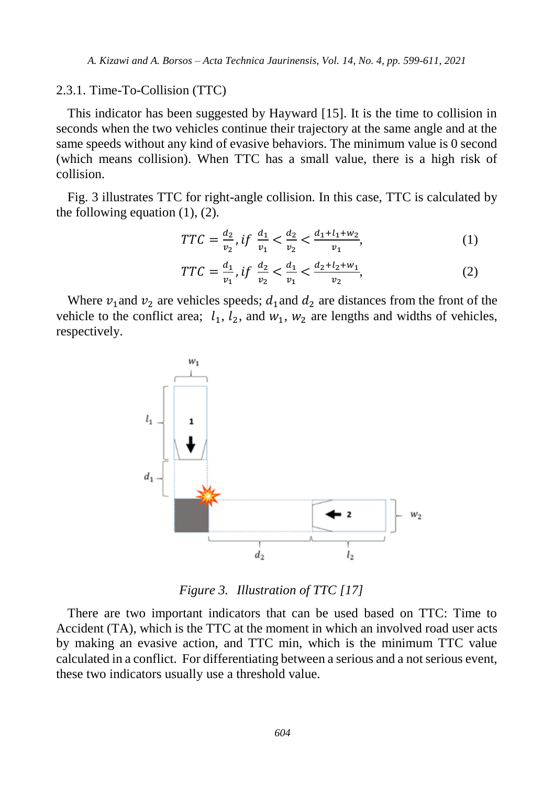#### 2.3.1. Time-To-Collision (TTC)

This indicator has been suggested by Hayward [15]. It is the time to collision in seconds when the two vehicles continue their trajectory at the same angle and at the same speeds without any kind of evasive behaviors. The minimum value is 0 second (which means collision). When TTC has a small value, there is a high risk of collision.

Fig. 3 illustrates TTC for right-angle collision. In this case, TTC is calculated by the following equation (1), (2).

$$
TTC = \frac{d_2}{v_2}, if \frac{d_1}{v_1} < \frac{d_2}{v_2} < \frac{d_1 + l_1 + w_2}{v_1},\tag{1}
$$

$$
TTC = \frac{d_1}{v_1}, if \frac{d_2}{v_2} < \frac{d_1}{v_1} < \frac{d_2 + l_2 + w_1}{v_2},\tag{2}
$$

Where  $v_1$  and  $v_2$  are vehicles speeds;  $d_1$  and  $d_2$  are distances from the front of the vehicle to the conflict area;  $l_1$ ,  $l_2$ , and  $w_1$ ,  $w_2$  are lengths and widths of vehicles, respectively.



*Figure 3. Illustration of TTC [17]*

There are two important indicators that can be used based on TTC: Time to Accident (TA), which is the TTC at the moment in which an involved road user acts by making an evasive action, and TTC min, which is the minimum TTC value calculated in a conflict. For differentiating between a serious and a not serious event, these two indicators usually use a threshold value.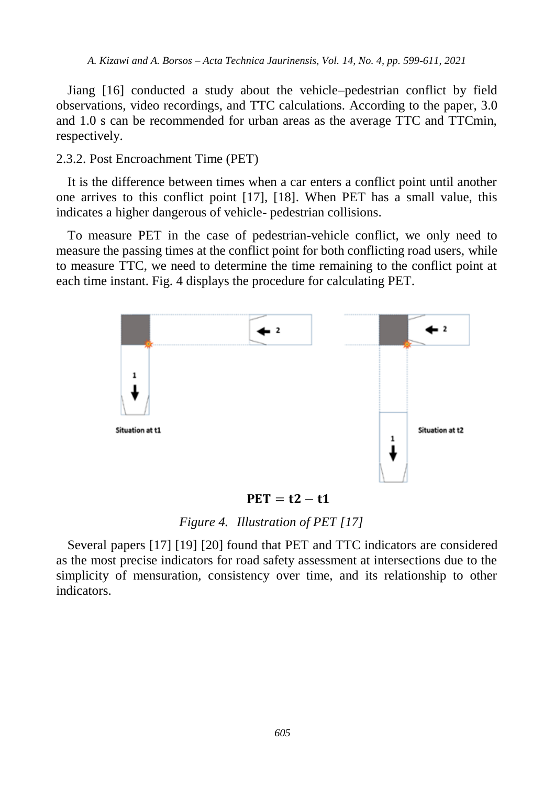Jiang [16] conducted a study about the vehicle–pedestrian conflict by field observations, video recordings, and TTC calculations. According to the paper, 3.0 and 1.0 s can be recommended for urban areas as the average TTC and TTCmin, respectively.

2.3.2. Post Encroachment Time (PET)

It is the difference between times when a car enters a conflict point until another one arrives to this conflict point [17], [18]. When PET has a small value, this indicates a higher dangerous of vehicle- pedestrian collisions.

To measure PET in the case of pedestrian-vehicle conflict, we only need to measure the passing times at the conflict point for both conflicting road users, while to measure TTC, we need to determine the time remaining to the conflict point at each time instant. Fig. 4 displays the procedure for calculating PET.



 $PET = t2 - t1$ 

*Figure 4. Illustration of PET [17]*

Several papers [17] [19] [20] found that PET and TTC indicators are considered as the most precise indicators for road safety assessment at intersections due to the simplicity of mensuration, consistency over time, and its relationship to other indicators.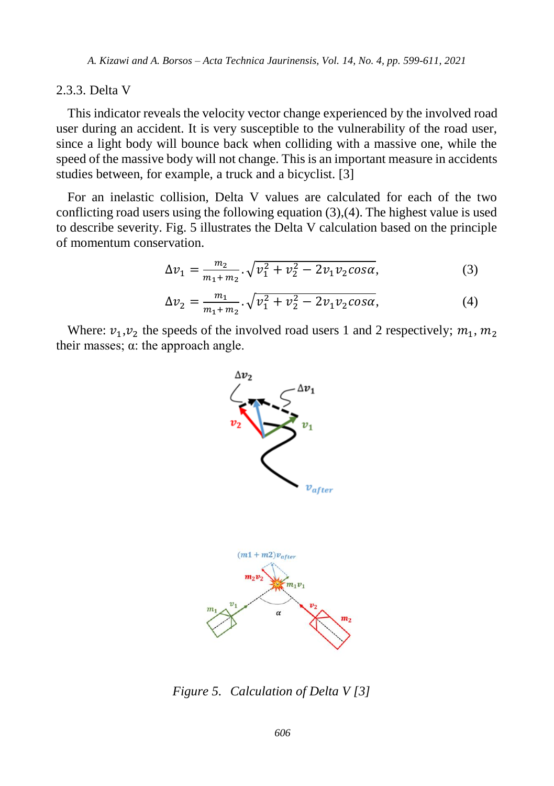### 2.3.3. Delta V

This indicator reveals the velocity vector change experienced by the involved road user during an accident. It is very susceptible to the vulnerability of the road user, since a light body will bounce back when colliding with a massive one, while the speed of the massive body will not change. This is an important measure in accidents studies between, for example, a truck and a bicyclist. [3]

For an inelastic collision, Delta V values are calculated for each of the two conflicting road users using the following equation (3),(4). The highest value is used to describe severity. Fig. 5 illustrates the Delta V calculation based on the principle of momentum conservation.

$$
\Delta v_1 = \frac{m_2}{m_1 + m_2} \cdot \sqrt{v_1^2 + v_2^2 - 2v_1 v_2 \cos \alpha},\tag{3}
$$

$$
\Delta v_2 = \frac{m_1}{m_1 + m_2} \cdot \sqrt{v_1^2 + v_2^2 - 2v_1 v_2 \cos \alpha},\tag{4}
$$

Where:  $v_1, v_2$  the speeds of the involved road users 1 and 2 respectively;  $m_1, m_2$ their masses;  $\alpha$ : the approach angle.



*Figure 5. Calculation of Delta V [3]*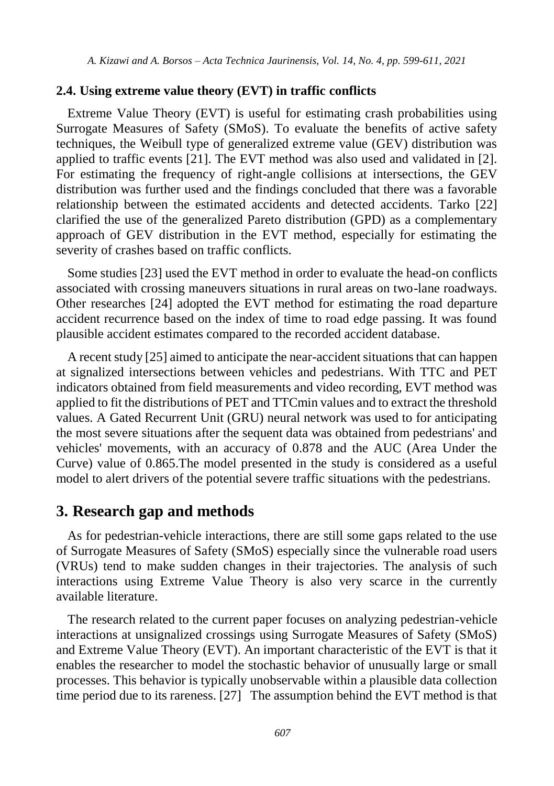### **2.4. Using extreme value theory (EVT) in traffic conflicts**

Extreme Value Theory (EVT) is useful for estimating crash probabilities using Surrogate Measures of Safety (SMoS). To evaluate the benefits of active safety techniques, the Weibull type of generalized extreme value (GEV) distribution was applied to traffic events [21]. The EVT method was also used and validated in [2]. For estimating the frequency of right-angle collisions at intersections, the GEV distribution was further used and the findings concluded that there was a favorable relationship between the estimated accidents and detected accidents. Tarko [22] clarified the use of the generalized Pareto distribution (GPD) as a complementary approach of GEV distribution in the EVT method, especially for estimating the severity of crashes based on traffic conflicts.

Some studies [23] used the EVT method in order to evaluate the head-on conflicts associated with crossing maneuvers situations in rural areas on two-lane roadways. Other researches [24] adopted the EVT method for estimating the road departure accident recurrence based on the index of time to road edge passing. It was found plausible accident estimates compared to the recorded accident database.

A recent study [25] aimed to anticipate the near-accident situations that can happen at signalized intersections between vehicles and pedestrians. With TTC and PET indicators obtained from field measurements and video recording, EVT method was applied to fit the distributions of PET and TTCmin values and to extract the threshold values. A Gated Recurrent Unit (GRU) neural network was used to for anticipating the most severe situations after the sequent data was obtained from pedestrians' and vehicles' movements, with an accuracy of 0.878 and the AUC (Area Under the Curve) value of 0.865.The model presented in the study is considered as a useful model to alert drivers of the potential severe traffic situations with the pedestrians.

# **3. Research gap and methods**

As for pedestrian-vehicle interactions, there are still some gaps related to the use of Surrogate Measures of Safety (SMoS) especially since the vulnerable road users (VRUs) tend to make sudden changes in their trajectories. The analysis of such interactions using Extreme Value Theory is also very scarce in the currently available literature.

The research related to the current paper focuses on analyzing pedestrian-vehicle interactions at unsignalized crossings using Surrogate Measures of Safety (SMoS) and Extreme Value Theory (EVT). An important characteristic of the EVT is that it enables the researcher to model the stochastic behavior of unusually large or small processes. This behavior is typically unobservable within a plausible data collection time period due to its rareness. [27] The assumption behind the EVT method is that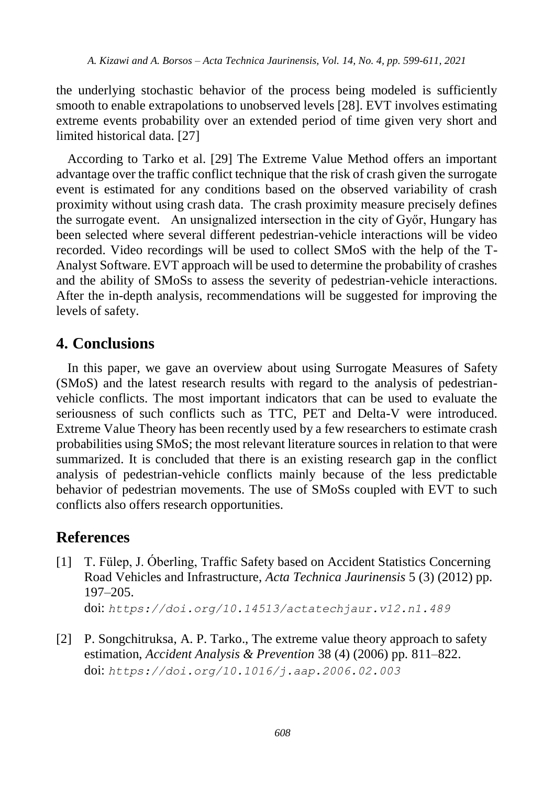the underlying stochastic behavior of the process being modeled is sufficiently smooth to enable extrapolations to unobserved levels [28]. EVT involves estimating extreme events probability over an extended period of time given very short and limited historical data. [27]

According to Tarko et al. [29] The Extreme Value Method offers an important advantage over the traffic conflict technique that the risk of crash given the surrogate event is estimated for any conditions based on the observed variability of crash proximity without using crash data. The crash proximity measure precisely defines the surrogate event. An unsignalized intersection in the city of Győr, Hungary has been selected where several different pedestrian-vehicle interactions will be video recorded. Video recordings will be used to collect SMoS with the help of the T-Analyst Software. EVT approach will be used to determine the probability of crashes and the ability of SMoSs to assess the severity of pedestrian-vehicle interactions. After the in-depth analysis, recommendations will be suggested for improving the levels of safety.

# **4. Conclusions**

In this paper, we gave an overview about using Surrogate Measures of Safety (SMoS) and the latest research results with regard to the analysis of pedestrianvehicle conflicts. The most important indicators that can be used to evaluate the seriousness of such conflicts such as TTC, PET and Delta-V were introduced. Extreme Value Theory has been recently used by a few researchers to estimate crash probabilities using SMoS; the most relevant literature sources in relation to that were summarized. It is concluded that there is an existing research gap in the conflict analysis of pedestrian-vehicle conflicts mainly because of the less predictable behavior of pedestrian movements. The use of SMoSs coupled with EVT to such conflicts also offers research opportunities.

# **References**

- [1] T. Fülep, J. Óberling, Traffic Safety based on Accident Statistics Concerning Road Vehicles and Infrastructure, *Acta Technica Jaurinensis* 5 (3) (2012) pp. 197–205. doi: *[https://doi.org/10.14513/actatechjaur.v12.n1.489](http://dx.doi.org/10.14513/actatechjaur.v10.n2.446)*
- [2] P. Songchitruksa, A. P. Tarko., The extreme value theory approach to safety estimation, *Accident Analysis & Prevention* 38 (4) (2006) pp. 811–822. doi: *<https://doi.org/10.1016/j.aap.2006.02.003>*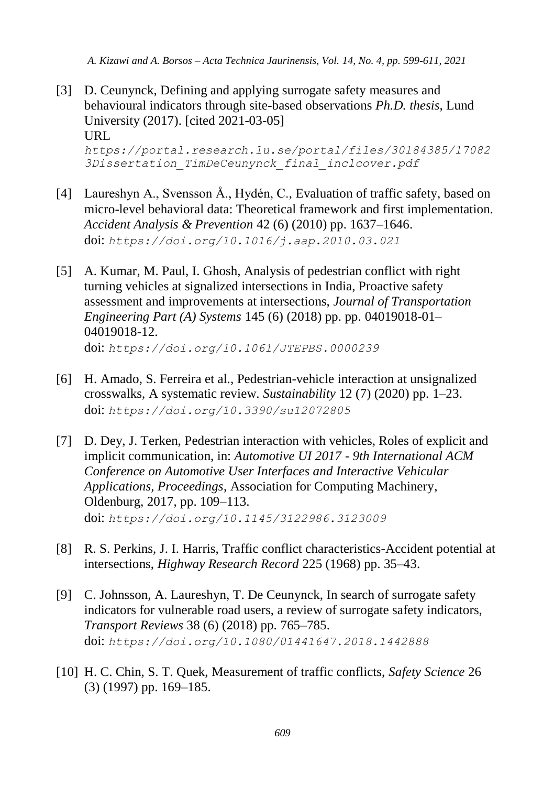- [3] D. Ceunynck, Defining and applying surrogate safety measures and behavioural indicators through site-based observations *Ph.D. thesis*, Lund University (2017). [cited 2021-03-05] URL *https://portal.research.lu.se/portal/files/30184385/17082 3Dissertation\_TimDeCeunynck\_final\_inclcover.pdf*
- [4] Laureshyn A., Svensson Å., Hydén, C., Evaluation of traffic safety, based on micro-level behavioral data: Theoretical framework and first implementation. *Accident Analysis & Prevention* 42 (6) (2010) pp. 1637–1646. doi: *<https://doi.org/10.1016/j.aap.2010.03.021>*
- [5] A. Kumar, M. Paul, I. Ghosh, Analysis of pedestrian conflict with right turning vehicles at signalized intersections in India, Proactive safety assessment and improvements at intersections, *Journal of Transportation Engineering Part (A) Systems* 145 (6) (2018) pp. pp. 04019018-01– 04019018-12. doi: *https://doi.org/10.1061/JTEPBS.0000239*
- [6] H. Amado, S. Ferreira et al., Pedestrian-vehicle interaction at unsignalized crosswalks, A systematic review. *Sustainability* 12 (7) (2020) pp. 1–23. doi: *<https://doi.org/10.3390/su12072805>*
- [7] D. Dey, J. Terken, Pedestrian interaction with vehicles, Roles of explicit and implicit communication, in: *Automotive UI 2017 - 9th International ACM Conference on Automotive User Interfaces and Interactive Vehicular Applications, Proceedings*, Association for Computing Machinery, Oldenburg, 2017, pp. 109–113. doi: *<https://doi.org/10.1145/3122986.3123009>*
- [8] R. S. Perkins, J. I. Harris, Traffic conflict characteristics-Accident potential at intersections, *Highway Research Record* 225 (1968) pp. 35–43.
- [9] C. Johnsson, A. Laureshyn, T. De Ceunynck, In search of surrogate safety indicators for vulnerable road users, a review of surrogate safety indicators, *Transport Reviews* 38 (6) (2018) pp. 765–785. doi: *<https://doi.org/10.1080/01441647.2018.1442888>*
- [10] H. C. Chin, S. T. Quek, Measurement of traffic conflicts, *Safety Science* 26 (3) (1997) pp. 169–185.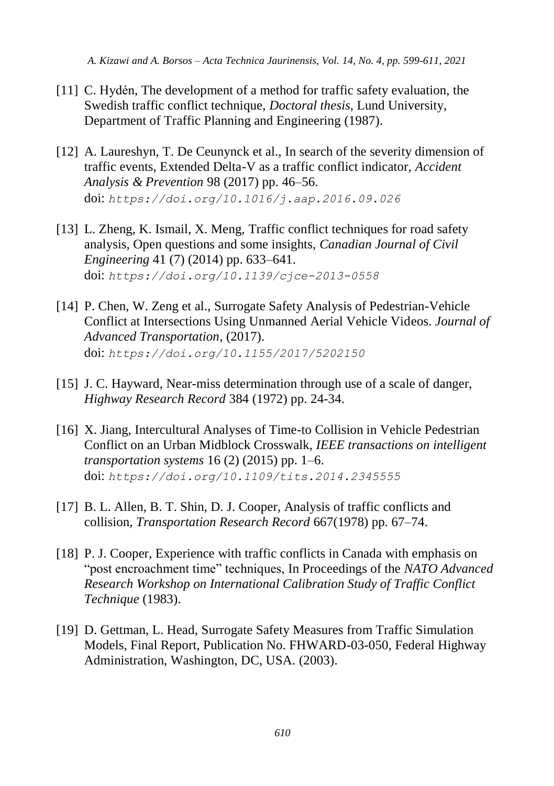- [11] C. Hydén, The development of a method for traffic safety evaluation, the Swedish traffic conflict technique, *Doctoral thesis*, Lund University, Department of Traffic Planning and Engineering (1987).
- [12] A. Laureshyn, T. De Ceunynck et al., In search of the severity dimension of traffic events, Extended Delta-V as a traffic conflict indicator, *Accident Analysis & Prevention* 98 (2017) pp. 46–56. doi: *<https://doi.org/10.1016/j.aap.2016.09.026>*
- [13] L. Zheng, K. Ismail, X. Meng, Traffic conflict techniques for road safety analysis, Open questions and some insights, *Canadian Journal of Civil Engineering* 41 (7) (2014) pp. 633–641. doi: *<https://doi.org/10.1139/cjce-2013-0558>*
- [14] P. Chen, W. Zeng et al., Surrogate Safety Analysis of Pedestrian-Vehicle Conflict at Intersections Using Unmanned Aerial Vehicle Videos. *Journal of Advanced Transportation*, (2017). doi: *<https://doi.org/10.1155/2017/5202150>*
- [15] J. C. Hayward, Near-miss determination through use of a scale of danger, *Highway Research Record* 384 (1972) pp. 24-34.
- [16] X. Jiang, Intercultural Analyses of Time-to Collision in Vehicle Pedestrian Conflict on an Urban Midblock Crosswalk, *IEEE transactions on intelligent transportation systems* 16 (2) (2015) pp. 1–6. doi: *https://doi.org/10.1109/tits.2014.2345555*
- [17] B. L. Allen, B. T. Shin, D. J. Cooper, Analysis of traffic conflicts and collision, *Transportation Research Record* 667(1978) pp. 67–74.
- [18] P. J. Cooper, Experience with traffic conflicts in Canada with emphasis on "post encroachment time" techniques, In Proceedings of the *NATO Advanced Research Workshop on International Calibration Study of Traffic Conflict Technique* (1983).
- [19] D. Gettman, L. Head, Surrogate Safety Measures from Traffic Simulation Models, Final Report, Publication No. FHWARD-03-050, Federal Highway Administration, Washington, DC, USA. (2003).